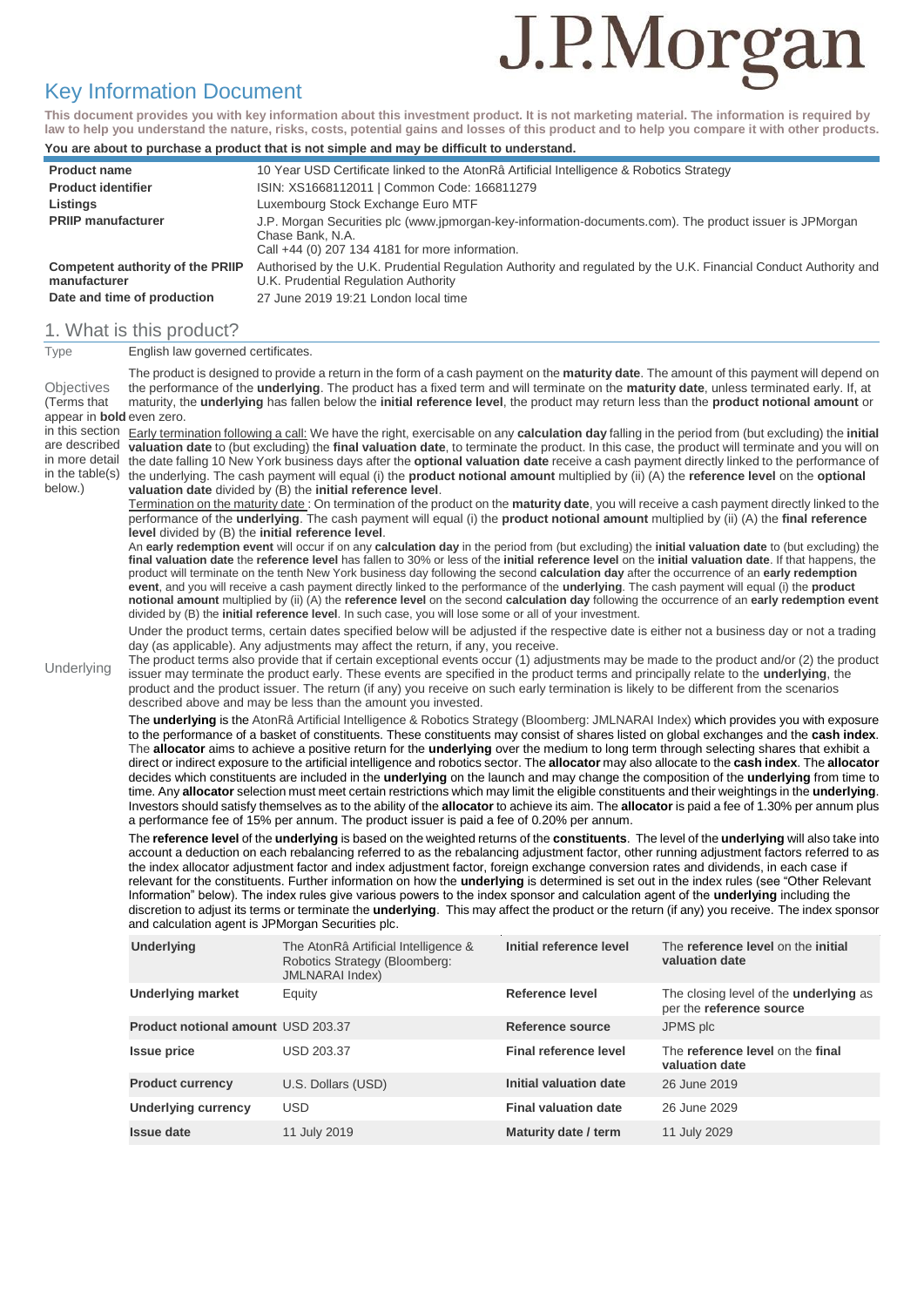# J.P.Morgan

# Key Information Document

**This document provides you with key information about this investment product. It is not marketing material. The information is required by law to help you understand the nature, risks, costs, potential gains and losses of this product and to help you compare it with other products.**

#### **You are about to purchase a product that is not simple and may be difficult to understand.**

| <b>Product name</b>                                                                    | 10 Year USD Certificate linked to the AtonRâ Artificial Intelligence & Robotics Strategy                                                                                                         |
|----------------------------------------------------------------------------------------|--------------------------------------------------------------------------------------------------------------------------------------------------------------------------------------------------|
| <b>Product identifier</b>                                                              | ISIN: XS1668112011   Common Code: 166811279                                                                                                                                                      |
| Listings                                                                               | Luxembourg Stock Exchange Euro MTF                                                                                                                                                               |
| <b>PRIIP manufacturer</b>                                                              | J.P. Morgan Securities plc (www.jpmorgan-key-information-documents.com). The product issuer is JPMorgan<br>Chase Bank, N.A.<br>Call +44 (0) 207 134 4181 for more information.                   |
| <b>Competent authority of the PRIIP</b><br>manufacturer<br>Date and time of production | Authorised by the U.K. Prudential Regulation Authority and regulated by the U.K. Financial Conduct Authority and<br>U.K. Prudential Regulation Authority<br>27 June 2019 19:21 London local time |
|                                                                                        |                                                                                                                                                                                                  |

# 1. What is this product?<br>Type English law governe

**English law governed certificates.** 

| <b>Objectives</b><br>(Terms that                                                                                                                                                                                                                                                                                                                                                                                                                                                                                                                                                                                                                                                                                                                                                                                                                                                                                                                |                                                                                                                                                                  | The product is designed to provide a return in the form of a cash payment on the <b>maturity date</b> . The amount of this payment will depend on<br>the performance of the <b>underlying</b> . The product has a fixed term and will terminate on the <b>maturity date</b> , unless terminated early. If, at<br>maturity, the underlying has fallen below the initial reference level, the product may return less than the product notional amount or |                               |                                                    |  |  |  |  |
|-------------------------------------------------------------------------------------------------------------------------------------------------------------------------------------------------------------------------------------------------------------------------------------------------------------------------------------------------------------------------------------------------------------------------------------------------------------------------------------------------------------------------------------------------------------------------------------------------------------------------------------------------------------------------------------------------------------------------------------------------------------------------------------------------------------------------------------------------------------------------------------------------------------------------------------------------|------------------------------------------------------------------------------------------------------------------------------------------------------------------|---------------------------------------------------------------------------------------------------------------------------------------------------------------------------------------------------------------------------------------------------------------------------------------------------------------------------------------------------------------------------------------------------------------------------------------------------------|-------------------------------|----------------------------------------------------|--|--|--|--|
| appear in <b>bold</b> even zero.                                                                                                                                                                                                                                                                                                                                                                                                                                                                                                                                                                                                                                                                                                                                                                                                                                                                                                                |                                                                                                                                                                  |                                                                                                                                                                                                                                                                                                                                                                                                                                                         |                               |                                                    |  |  |  |  |
|                                                                                                                                                                                                                                                                                                                                                                                                                                                                                                                                                                                                                                                                                                                                                                                                                                                                                                                                                 | in this section Early termination following a call: We have the right, exercisable on any calculation day falling in the period from (but excluding) the initial |                                                                                                                                                                                                                                                                                                                                                                                                                                                         |                               |                                                    |  |  |  |  |
|                                                                                                                                                                                                                                                                                                                                                                                                                                                                                                                                                                                                                                                                                                                                                                                                                                                                                                                                                 | are described valuation date to (but excluding) the final valuation date, to terminate the product. In this case, the product will terminate and you will on     |                                                                                                                                                                                                                                                                                                                                                                                                                                                         |                               |                                                    |  |  |  |  |
|                                                                                                                                                                                                                                                                                                                                                                                                                                                                                                                                                                                                                                                                                                                                                                                                                                                                                                                                                 | in more detail the date falling 10 New York business days after the optional valuation date receive a cash payment directly linked to the performance of         |                                                                                                                                                                                                                                                                                                                                                                                                                                                         |                               |                                                    |  |  |  |  |
|                                                                                                                                                                                                                                                                                                                                                                                                                                                                                                                                                                                                                                                                                                                                                                                                                                                                                                                                                 | in the table(s) the underlying. The cash payment will equal (i) the <b>product notional amount</b> multiplied by (ii) (A) the reference level on the optional    |                                                                                                                                                                                                                                                                                                                                                                                                                                                         |                               |                                                    |  |  |  |  |
| below.)                                                                                                                                                                                                                                                                                                                                                                                                                                                                                                                                                                                                                                                                                                                                                                                                                                                                                                                                         | valuation date divided by (B) the initial reference level.                                                                                                       |                                                                                                                                                                                                                                                                                                                                                                                                                                                         |                               |                                                    |  |  |  |  |
|                                                                                                                                                                                                                                                                                                                                                                                                                                                                                                                                                                                                                                                                                                                                                                                                                                                                                                                                                 |                                                                                                                                                                  | Termination on the maturity date: On termination of the product on the maturity date, you will receive a cash payment directly linked to the                                                                                                                                                                                                                                                                                                            |                               |                                                    |  |  |  |  |
|                                                                                                                                                                                                                                                                                                                                                                                                                                                                                                                                                                                                                                                                                                                                                                                                                                                                                                                                                 |                                                                                                                                                                  | performance of the <b>underlying</b> . The cash payment will equal (i) the <b>product notional amount</b> multiplied by (ii) (A) the final reference                                                                                                                                                                                                                                                                                                    |                               |                                                    |  |  |  |  |
|                                                                                                                                                                                                                                                                                                                                                                                                                                                                                                                                                                                                                                                                                                                                                                                                                                                                                                                                                 | level divided by (B) the initial reference level.                                                                                                                |                                                                                                                                                                                                                                                                                                                                                                                                                                                         |                               |                                                    |  |  |  |  |
|                                                                                                                                                                                                                                                                                                                                                                                                                                                                                                                                                                                                                                                                                                                                                                                                                                                                                                                                                 |                                                                                                                                                                  | An early redemption event will occur if on any calculation day in the period from (but excluding) the initial valuation date to (but excluding) the                                                                                                                                                                                                                                                                                                     |                               |                                                    |  |  |  |  |
|                                                                                                                                                                                                                                                                                                                                                                                                                                                                                                                                                                                                                                                                                                                                                                                                                                                                                                                                                 |                                                                                                                                                                  | final valuation date the reference level has fallen to 30% or less of the initial reference level on the initial valuation date. If that happens, the                                                                                                                                                                                                                                                                                                   |                               |                                                    |  |  |  |  |
|                                                                                                                                                                                                                                                                                                                                                                                                                                                                                                                                                                                                                                                                                                                                                                                                                                                                                                                                                 |                                                                                                                                                                  | product will terminate on the tenth New York business day following the second calculation day after the occurrence of an early redemption                                                                                                                                                                                                                                                                                                              |                               |                                                    |  |  |  |  |
|                                                                                                                                                                                                                                                                                                                                                                                                                                                                                                                                                                                                                                                                                                                                                                                                                                                                                                                                                 |                                                                                                                                                                  | event, and you will receive a cash payment directly linked to the performance of the underlying. The cash payment will equal (i) the product                                                                                                                                                                                                                                                                                                            |                               |                                                    |  |  |  |  |
|                                                                                                                                                                                                                                                                                                                                                                                                                                                                                                                                                                                                                                                                                                                                                                                                                                                                                                                                                 |                                                                                                                                                                  | notional amount multiplied by (ii) (A) the reference level on the second calculation day following the occurrence of an early redemption event                                                                                                                                                                                                                                                                                                          |                               |                                                    |  |  |  |  |
|                                                                                                                                                                                                                                                                                                                                                                                                                                                                                                                                                                                                                                                                                                                                                                                                                                                                                                                                                 |                                                                                                                                                                  | divided by (B) the initial reference level. In such case, you will lose some or all of your investment.                                                                                                                                                                                                                                                                                                                                                 |                               |                                                    |  |  |  |  |
|                                                                                                                                                                                                                                                                                                                                                                                                                                                                                                                                                                                                                                                                                                                                                                                                                                                                                                                                                 |                                                                                                                                                                  | Under the product terms, certain dates specified below will be adjusted if the respective date is either not a business day or not a trading                                                                                                                                                                                                                                                                                                            |                               |                                                    |  |  |  |  |
|                                                                                                                                                                                                                                                                                                                                                                                                                                                                                                                                                                                                                                                                                                                                                                                                                                                                                                                                                 |                                                                                                                                                                  | day (as applicable). Any adjustments may affect the return, if any, you receive.                                                                                                                                                                                                                                                                                                                                                                        |                               |                                                    |  |  |  |  |
| Underlying                                                                                                                                                                                                                                                                                                                                                                                                                                                                                                                                                                                                                                                                                                                                                                                                                                                                                                                                      |                                                                                                                                                                  | The product terms also provide that if certain exceptional events occur (1) adjustments may be made to the product and/or (2) the product                                                                                                                                                                                                                                                                                                               |                               |                                                    |  |  |  |  |
|                                                                                                                                                                                                                                                                                                                                                                                                                                                                                                                                                                                                                                                                                                                                                                                                                                                                                                                                                 |                                                                                                                                                                  | issuer may terminate the product early. These events are specified in the product terms and principally relate to the <b>underlying</b> , the                                                                                                                                                                                                                                                                                                           |                               |                                                    |  |  |  |  |
|                                                                                                                                                                                                                                                                                                                                                                                                                                                                                                                                                                                                                                                                                                                                                                                                                                                                                                                                                 |                                                                                                                                                                  | product and the product issuer. The return (if any) you receive on such early termination is likely to be different from the scenarios                                                                                                                                                                                                                                                                                                                  |                               |                                                    |  |  |  |  |
|                                                                                                                                                                                                                                                                                                                                                                                                                                                                                                                                                                                                                                                                                                                                                                                                                                                                                                                                                 |                                                                                                                                                                  | described above and may be less than the amount you invested.                                                                                                                                                                                                                                                                                                                                                                                           |                               |                                                    |  |  |  |  |
|                                                                                                                                                                                                                                                                                                                                                                                                                                                                                                                                                                                                                                                                                                                                                                                                                                                                                                                                                 |                                                                                                                                                                  | The underlying is the AtonRâ Artificial Intelligence & Robotics Strategy (Bloomberg: JMLNARAI Index) which provides you with exposure                                                                                                                                                                                                                                                                                                                   |                               |                                                    |  |  |  |  |
|                                                                                                                                                                                                                                                                                                                                                                                                                                                                                                                                                                                                                                                                                                                                                                                                                                                                                                                                                 |                                                                                                                                                                  | to the performance of a basket of constituents. These constituents may consist of shares listed on global exchanges and the cash index.                                                                                                                                                                                                                                                                                                                 |                               |                                                    |  |  |  |  |
|                                                                                                                                                                                                                                                                                                                                                                                                                                                                                                                                                                                                                                                                                                                                                                                                                                                                                                                                                 |                                                                                                                                                                  | The allocator aims to achieve a positive return for the underlying over the medium to long term through selecting shares that exhibit a                                                                                                                                                                                                                                                                                                                 |                               |                                                    |  |  |  |  |
|                                                                                                                                                                                                                                                                                                                                                                                                                                                                                                                                                                                                                                                                                                                                                                                                                                                                                                                                                 |                                                                                                                                                                  | direct or indirect exposure to the artificial intelligence and robotics sector. The allocator may also allocate to the cash index. The allocator                                                                                                                                                                                                                                                                                                        |                               |                                                    |  |  |  |  |
|                                                                                                                                                                                                                                                                                                                                                                                                                                                                                                                                                                                                                                                                                                                                                                                                                                                                                                                                                 |                                                                                                                                                                  | decides which constituents are included in the <b>underlying</b> on the launch and may change the composition of the <b>underlying</b> from time to                                                                                                                                                                                                                                                                                                     |                               |                                                    |  |  |  |  |
|                                                                                                                                                                                                                                                                                                                                                                                                                                                                                                                                                                                                                                                                                                                                                                                                                                                                                                                                                 |                                                                                                                                                                  | time. Any allocator selection must meet certain restrictions which may limit the eligible constituents and their weightings in the underlying.                                                                                                                                                                                                                                                                                                          |                               |                                                    |  |  |  |  |
|                                                                                                                                                                                                                                                                                                                                                                                                                                                                                                                                                                                                                                                                                                                                                                                                                                                                                                                                                 |                                                                                                                                                                  | Investors should satisfy themselves as to the ability of the allocator to achieve its aim. The allocator is paid a fee of 1.30% per annum plus                                                                                                                                                                                                                                                                                                          |                               |                                                    |  |  |  |  |
|                                                                                                                                                                                                                                                                                                                                                                                                                                                                                                                                                                                                                                                                                                                                                                                                                                                                                                                                                 |                                                                                                                                                                  | a performance fee of 15% per annum. The product issuer is paid a fee of 0.20% per annum.                                                                                                                                                                                                                                                                                                                                                                |                               |                                                    |  |  |  |  |
| The reference level of the underlying is based on the weighted returns of the constituents. The level of the underlying will also take into<br>account a deduction on each rebalancing referred to as the rebalancing adjustment factor, other running adjustment factors referred to as<br>the index allocator adjustment factor and index adjustment factor, foreign exchange conversion rates and dividends, in each case if<br>relevant for the constituents. Further information on how the <b>underlying</b> is determined is set out in the index rules (see "Other Relevant<br>Information" below). The index rules give various powers to the index sponsor and calculation agent of the <b>underlying</b> including the<br>discretion to adjust its terms or terminate the <i>underlying</i> . This may affect the product or the return (if any) you receive. The index sponsor<br>and calculation agent is JPMorgan Securities plc. |                                                                                                                                                                  |                                                                                                                                                                                                                                                                                                                                                                                                                                                         |                               |                                                    |  |  |  |  |
|                                                                                                                                                                                                                                                                                                                                                                                                                                                                                                                                                                                                                                                                                                                                                                                                                                                                                                                                                 |                                                                                                                                                                  |                                                                                                                                                                                                                                                                                                                                                                                                                                                         |                               |                                                    |  |  |  |  |
|                                                                                                                                                                                                                                                                                                                                                                                                                                                                                                                                                                                                                                                                                                                                                                                                                                                                                                                                                 | <b>Underlying</b>                                                                                                                                                | The AtonRâ Artificial Intelligence &                                                                                                                                                                                                                                                                                                                                                                                                                    | Initial reference level       | The reference level on the initial                 |  |  |  |  |
|                                                                                                                                                                                                                                                                                                                                                                                                                                                                                                                                                                                                                                                                                                                                                                                                                                                                                                                                                 |                                                                                                                                                                  | Robotics Strategy (Bloomberg:                                                                                                                                                                                                                                                                                                                                                                                                                           |                               | valuation date                                     |  |  |  |  |
|                                                                                                                                                                                                                                                                                                                                                                                                                                                                                                                                                                                                                                                                                                                                                                                                                                                                                                                                                 |                                                                                                                                                                  | <b>JMLNARAI</b> Index)                                                                                                                                                                                                                                                                                                                                                                                                                                  |                               |                                                    |  |  |  |  |
|                                                                                                                                                                                                                                                                                                                                                                                                                                                                                                                                                                                                                                                                                                                                                                                                                                                                                                                                                 | <b>Underlying market</b>                                                                                                                                         |                                                                                                                                                                                                                                                                                                                                                                                                                                                         | Reference level               | The closing level of the underlying as             |  |  |  |  |
|                                                                                                                                                                                                                                                                                                                                                                                                                                                                                                                                                                                                                                                                                                                                                                                                                                                                                                                                                 |                                                                                                                                                                  | Equity                                                                                                                                                                                                                                                                                                                                                                                                                                                  |                               | per the reference source                           |  |  |  |  |
|                                                                                                                                                                                                                                                                                                                                                                                                                                                                                                                                                                                                                                                                                                                                                                                                                                                                                                                                                 | <b>Product notional amount USD 203.37</b>                                                                                                                        |                                                                                                                                                                                                                                                                                                                                                                                                                                                         | <b>Reference source</b>       | JPMS plc                                           |  |  |  |  |
|                                                                                                                                                                                                                                                                                                                                                                                                                                                                                                                                                                                                                                                                                                                                                                                                                                                                                                                                                 | <b>Issue price</b>                                                                                                                                               | <b>USD 203.37</b>                                                                                                                                                                                                                                                                                                                                                                                                                                       | <b>Final reference level</b>  | The reference level on the final<br>valuation date |  |  |  |  |
|                                                                                                                                                                                                                                                                                                                                                                                                                                                                                                                                                                                                                                                                                                                                                                                                                                                                                                                                                 | <b>Product currency</b>                                                                                                                                          | U.S. Dollars (USD)                                                                                                                                                                                                                                                                                                                                                                                                                                      | <b>Initial valuation date</b> | 26 June 2019                                       |  |  |  |  |
|                                                                                                                                                                                                                                                                                                                                                                                                                                                                                                                                                                                                                                                                                                                                                                                                                                                                                                                                                 | <b>Underlying currency</b>                                                                                                                                       | <b>USD</b>                                                                                                                                                                                                                                                                                                                                                                                                                                              | <b>Final valuation date</b>   | 26 June 2029                                       |  |  |  |  |
|                                                                                                                                                                                                                                                                                                                                                                                                                                                                                                                                                                                                                                                                                                                                                                                                                                                                                                                                                 | <b>Issue date</b>                                                                                                                                                | 11 July 2019                                                                                                                                                                                                                                                                                                                                                                                                                                            | Maturity date / term          | 11 July 2029                                       |  |  |  |  |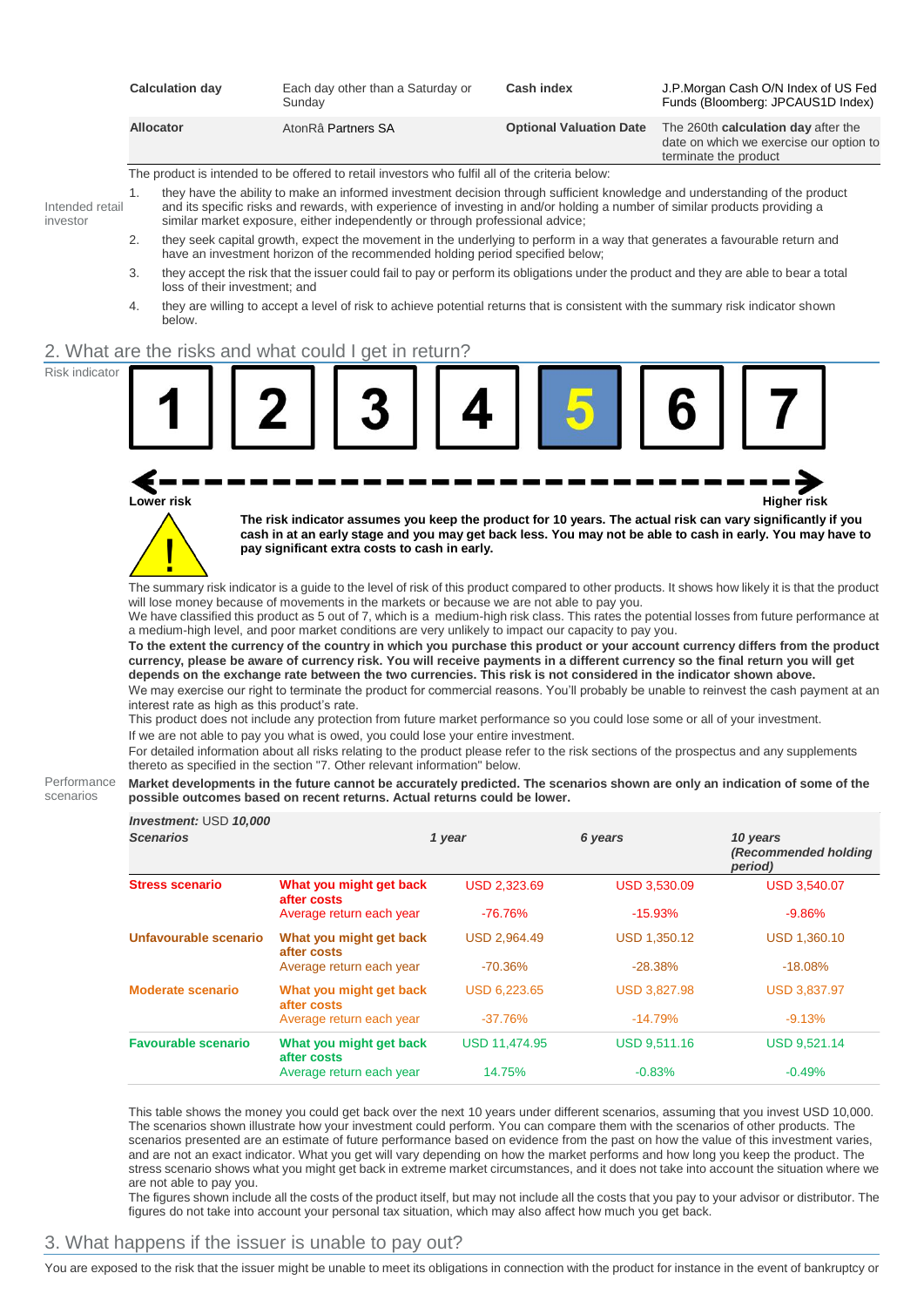|                             | <b>Calculation day</b>                                                                                                                                                                                                                                                                                                                            | Each day other than a Saturday or<br>Sunday                                                                                                                                                                                                                                                                                                                                                                                                                                                                                                                                                                                                                                    | <b>Cash index</b>   |                                | J.P.Morgan Cash O/N Index of US Fed<br>Funds (Bloomberg: JPCAUS1D Index)                                                                                                                                                                                                                                                                                                                                                                                                                                                                                                                                                                                                                                                                                                                                                                                                                                                                                                                                                                                                                                        |  |  |  |  |  |
|-----------------------------|---------------------------------------------------------------------------------------------------------------------------------------------------------------------------------------------------------------------------------------------------------------------------------------------------------------------------------------------------|--------------------------------------------------------------------------------------------------------------------------------------------------------------------------------------------------------------------------------------------------------------------------------------------------------------------------------------------------------------------------------------------------------------------------------------------------------------------------------------------------------------------------------------------------------------------------------------------------------------------------------------------------------------------------------|---------------------|--------------------------------|-----------------------------------------------------------------------------------------------------------------------------------------------------------------------------------------------------------------------------------------------------------------------------------------------------------------------------------------------------------------------------------------------------------------------------------------------------------------------------------------------------------------------------------------------------------------------------------------------------------------------------------------------------------------------------------------------------------------------------------------------------------------------------------------------------------------------------------------------------------------------------------------------------------------------------------------------------------------------------------------------------------------------------------------------------------------------------------------------------------------|--|--|--|--|--|
|                             | <b>Allocator</b>                                                                                                                                                                                                                                                                                                                                  | AtonRâ Partners SA                                                                                                                                                                                                                                                                                                                                                                                                                                                                                                                                                                                                                                                             |                     | <b>Optional Valuation Date</b> | The 260th calculation day after the<br>date on which we exercise our option to<br>terminate the product                                                                                                                                                                                                                                                                                                                                                                                                                                                                                                                                                                                                                                                                                                                                                                                                                                                                                                                                                                                                         |  |  |  |  |  |
|                             |                                                                                                                                                                                                                                                                                                                                                   | The product is intended to be offered to retail investors who fulfil all of the criteria below:                                                                                                                                                                                                                                                                                                                                                                                                                                                                                                                                                                                |                     |                                |                                                                                                                                                                                                                                                                                                                                                                                                                                                                                                                                                                                                                                                                                                                                                                                                                                                                                                                                                                                                                                                                                                                 |  |  |  |  |  |
| Intended retail<br>investor | they have the ability to make an informed investment decision through sufficient knowledge and understanding of the product<br>1.<br>and its specific risks and rewards, with experience of investing in and/or holding a number of similar products providing a<br>similar market exposure, either independently or through professional advice; |                                                                                                                                                                                                                                                                                                                                                                                                                                                                                                                                                                                                                                                                                |                     |                                |                                                                                                                                                                                                                                                                                                                                                                                                                                                                                                                                                                                                                                                                                                                                                                                                                                                                                                                                                                                                                                                                                                                 |  |  |  |  |  |
|                             | 2.<br>they seek capital growth, expect the movement in the underlying to perform in a way that generates a favourable return and<br>have an investment horizon of the recommended holding period specified below;                                                                                                                                 |                                                                                                                                                                                                                                                                                                                                                                                                                                                                                                                                                                                                                                                                                |                     |                                |                                                                                                                                                                                                                                                                                                                                                                                                                                                                                                                                                                                                                                                                                                                                                                                                                                                                                                                                                                                                                                                                                                                 |  |  |  |  |  |
|                             | they accept the risk that the issuer could fail to pay or perform its obligations under the product and they are able to bear a total<br>3.                                                                                                                                                                                                       |                                                                                                                                                                                                                                                                                                                                                                                                                                                                                                                                                                                                                                                                                |                     |                                |                                                                                                                                                                                                                                                                                                                                                                                                                                                                                                                                                                                                                                                                                                                                                                                                                                                                                                                                                                                                                                                                                                                 |  |  |  |  |  |
|                             | loss of their investment; and<br>4.                                                                                                                                                                                                                                                                                                               | they are willing to accept a level of risk to achieve potential returns that is consistent with the summary risk indicator shown                                                                                                                                                                                                                                                                                                                                                                                                                                                                                                                                               |                     |                                |                                                                                                                                                                                                                                                                                                                                                                                                                                                                                                                                                                                                                                                                                                                                                                                                                                                                                                                                                                                                                                                                                                                 |  |  |  |  |  |
|                             | below.                                                                                                                                                                                                                                                                                                                                            |                                                                                                                                                                                                                                                                                                                                                                                                                                                                                                                                                                                                                                                                                |                     |                                |                                                                                                                                                                                                                                                                                                                                                                                                                                                                                                                                                                                                                                                                                                                                                                                                                                                                                                                                                                                                                                                                                                                 |  |  |  |  |  |
|                             |                                                                                                                                                                                                                                                                                                                                                   | 2. What are the risks and what could I get in return?                                                                                                                                                                                                                                                                                                                                                                                                                                                                                                                                                                                                                          |                     |                                |                                                                                                                                                                                                                                                                                                                                                                                                                                                                                                                                                                                                                                                                                                                                                                                                                                                                                                                                                                                                                                                                                                                 |  |  |  |  |  |
|                             | Lower risk<br>interest rate as high as this product's rate.                                                                                                                                                                                                                                                                                       | pay significant extra costs to cash in early.<br>will lose money because of movements in the markets or because we are not able to pay you.<br>a medium-high level, and poor market conditions are very unlikely to impact our capacity to pay you.<br>depends on the exchange rate between the two currencies. This risk is not considered in the indicator shown above.<br>This product does not include any protection from future market performance so you could lose some or all of your investment.<br>If we are not able to pay you what is owed, you could lose your entire investment.<br>thereto as specified in the section "7. Other relevant information" below. |                     |                                | <b>Higher risk</b><br>The risk indicator assumes you keep the product for 10 years. The actual risk can vary significantly if you<br>cash in at an early stage and you may get back less. You may not be able to cash in early. You may have to<br>The summary risk indicator is a guide to the level of risk of this product compared to other products. It shows how likely it is that the product<br>We have classified this product as 5 out of 7, which is a medium-high risk class. This rates the potential losses from future performance at<br>To the extent the currency of the country in which you purchase this product or your account currency differs from the product<br>currency, please be aware of currency risk. You will receive payments in a different currency so the final return you will get<br>We may exercise our right to terminate the product for commercial reasons. You'll probably be unable to reinvest the cash payment at an<br>For detailed information about all risks relating to the product please refer to the risk sections of the prospectus and any supplements |  |  |  |  |  |
| Performance<br>scenarios    | Market developments in the future cannot be accurately predicted. The scenarios shown are only an indication of some of the<br>possible outcomes based on recent returns. Actual returns could be lower.                                                                                                                                          |                                                                                                                                                                                                                                                                                                                                                                                                                                                                                                                                                                                                                                                                                |                     |                                |                                                                                                                                                                                                                                                                                                                                                                                                                                                                                                                                                                                                                                                                                                                                                                                                                                                                                                                                                                                                                                                                                                                 |  |  |  |  |  |
|                             | Investment: USD 10,000<br><b>Scenarios</b>                                                                                                                                                                                                                                                                                                        |                                                                                                                                                                                                                                                                                                                                                                                                                                                                                                                                                                                                                                                                                | 1 year              | 6 years                        | 10 years<br>(Recommended holding<br>period)                                                                                                                                                                                                                                                                                                                                                                                                                                                                                                                                                                                                                                                                                                                                                                                                                                                                                                                                                                                                                                                                     |  |  |  |  |  |
|                             | <b>Stress scenario</b>                                                                                                                                                                                                                                                                                                                            | What you might get back<br>after costs                                                                                                                                                                                                                                                                                                                                                                                                                                                                                                                                                                                                                                         | <b>USD 2,323.69</b> | <b>USD 3,530.09</b>            | <b>USD 3,540.07</b>                                                                                                                                                                                                                                                                                                                                                                                                                                                                                                                                                                                                                                                                                                                                                                                                                                                                                                                                                                                                                                                                                             |  |  |  |  |  |
|                             |                                                                                                                                                                                                                                                                                                                                                   | Average return each year                                                                                                                                                                                                                                                                                                                                                                                                                                                                                                                                                                                                                                                       | $-76.76%$           | $-15.93%$                      | $-9.86%$                                                                                                                                                                                                                                                                                                                                                                                                                                                                                                                                                                                                                                                                                                                                                                                                                                                                                                                                                                                                                                                                                                        |  |  |  |  |  |
|                             | Unfavourable scenario                                                                                                                                                                                                                                                                                                                             | What you might get back<br>after costs                                                                                                                                                                                                                                                                                                                                                                                                                                                                                                                                                                                                                                         | USD 2,964.49        | <b>USD 1,350.12</b>            | USD 1,360.10                                                                                                                                                                                                                                                                                                                                                                                                                                                                                                                                                                                                                                                                                                                                                                                                                                                                                                                                                                                                                                                                                                    |  |  |  |  |  |
|                             |                                                                                                                                                                                                                                                                                                                                                   | Average return each year                                                                                                                                                                                                                                                                                                                                                                                                                                                                                                                                                                                                                                                       | $-70.36%$           | $-28.38%$                      | $-18.08%$                                                                                                                                                                                                                                                                                                                                                                                                                                                                                                                                                                                                                                                                                                                                                                                                                                                                                                                                                                                                                                                                                                       |  |  |  |  |  |
|                             | <b>Moderate scenario</b>                                                                                                                                                                                                                                                                                                                          | What you might get back<br>after costs                                                                                                                                                                                                                                                                                                                                                                                                                                                                                                                                                                                                                                         | USD 6,223.65        | USD 3,827.98                   | USD 3,837.97                                                                                                                                                                                                                                                                                                                                                                                                                                                                                                                                                                                                                                                                                                                                                                                                                                                                                                                                                                                                                                                                                                    |  |  |  |  |  |
|                             |                                                                                                                                                                                                                                                                                                                                                   | Average return each year                                                                                                                                                                                                                                                                                                                                                                                                                                                                                                                                                                                                                                                       | $-37.76%$           | $-14.79%$                      | $-9.13%$                                                                                                                                                                                                                                                                                                                                                                                                                                                                                                                                                                                                                                                                                                                                                                                                                                                                                                                                                                                                                                                                                                        |  |  |  |  |  |
|                             | <b>Favourable scenario</b>                                                                                                                                                                                                                                                                                                                        | What you might get back<br>after costs                                                                                                                                                                                                                                                                                                                                                                                                                                                                                                                                                                                                                                         | USD 11,474.95       | USD 9,511.16                   | USD 9,521.14                                                                                                                                                                                                                                                                                                                                                                                                                                                                                                                                                                                                                                                                                                                                                                                                                                                                                                                                                                                                                                                                                                    |  |  |  |  |  |
|                             |                                                                                                                                                                                                                                                                                                                                                   | Average return each year                                                                                                                                                                                                                                                                                                                                                                                                                                                                                                                                                                                                                                                       | 14.75%              | $-0.83%$                       | $-0.49%$                                                                                                                                                                                                                                                                                                                                                                                                                                                                                                                                                                                                                                                                                                                                                                                                                                                                                                                                                                                                                                                                                                        |  |  |  |  |  |

This table shows the money you could get back over the next 10 years under different scenarios, assuming that you invest USD 10,000. The scenarios shown illustrate how your investment could perform. You can compare them with the scenarios of other products. The scenarios presented are an estimate of future performance based on evidence from the past on how the value of this investment varies, and are not an exact indicator. What you get will vary depending on how the market performs and how long you keep the product. The stress scenario shows what you might get back in extreme market circumstances, and it does not take into account the situation where we are not able to pay you.

The figures shown include all the costs of the product itself, but may not include all the costs that you pay to your advisor or distributor. The figures do not take into account your personal tax situation, which may also affect how much you get back.

## 3. What happens if the issuer is unable to pay out?

You are exposed to the risk that the issuer might be unable to meet its obligations in connection with the product for instance in the event of bankruptcy or